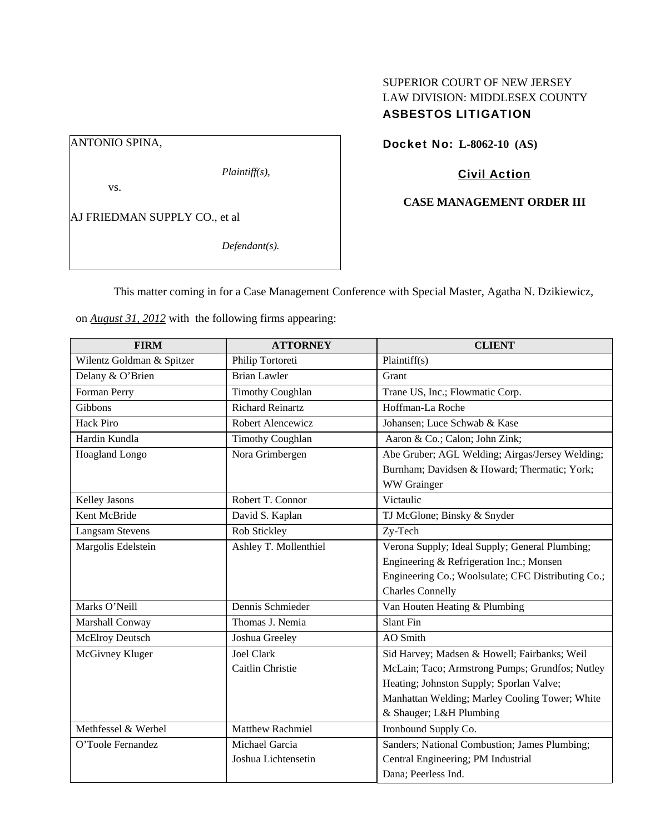# SUPERIOR COURT OF NEW JERSEY LAW DIVISION: MIDDLESEX COUNTY ASBESTOS LITIGATION

ANTONIO SPINA,

*Plaintiff(s),* 

vs.

AJ FRIEDMAN SUPPLY CO., et al

*Defendant(s).* 

Docket No: **L-8062-10 (AS)** 

# Civil Action

## **CASE MANAGEMENT ORDER III**

This matter coming in for a Case Management Conference with Special Master, Agatha N. Dzikiewicz,

on *August 31, 2012* with the following firms appearing:

| <b>FIRM</b>               | <b>ATTORNEY</b>         | <b>CLIENT</b>                                      |
|---------------------------|-------------------------|----------------------------------------------------|
| Wilentz Goldman & Spitzer | Philip Tortoreti        | Plaintiff(s)                                       |
| Delany & O'Brien          | <b>Brian Lawler</b>     | Grant                                              |
| Forman Perry              | <b>Timothy Coughlan</b> | Trane US, Inc.; Flowmatic Corp.                    |
| Gibbons                   | <b>Richard Reinartz</b> | Hoffman-La Roche                                   |
| <b>Hack Piro</b>          | Robert Alencewicz       | Johansen; Luce Schwab & Kase                       |
| Hardin Kundla             | <b>Timothy Coughlan</b> | Aaron & Co.; Calon; John Zink;                     |
| Hoagland Longo            | Nora Grimbergen         | Abe Gruber; AGL Welding; Airgas/Jersey Welding;    |
|                           |                         | Burnham; Davidsen & Howard; Thermatic; York;       |
|                           |                         | WW Grainger                                        |
| <b>Kelley Jasons</b>      | Robert T. Connor        | Victaulic                                          |
| Kent McBride              | David S. Kaplan         | TJ McGlone; Binsky & Snyder                        |
| <b>Langsam Stevens</b>    | Rob Stickley            | Zy-Tech                                            |
| Margolis Edelstein        | Ashley T. Mollenthiel   | Verona Supply; Ideal Supply; General Plumbing;     |
|                           |                         | Engineering & Refrigeration Inc.; Monsen           |
|                           |                         | Engineering Co.; Woolsulate; CFC Distributing Co.; |
|                           |                         | <b>Charles Connelly</b>                            |
| Marks O'Neill             | Dennis Schmieder        | Van Houten Heating & Plumbing                      |
| Marshall Conway           | Thomas J. Nemia         | <b>Slant Fin</b>                                   |
| <b>McElroy Deutsch</b>    | Joshua Greeley          | AO Smith                                           |
| McGivney Kluger           | <b>Joel Clark</b>       | Sid Harvey; Madsen & Howell; Fairbanks; Weil       |
|                           | Caitlin Christie        | McLain; Taco; Armstrong Pumps; Grundfos; Nutley    |
|                           |                         | Heating; Johnston Supply; Sporlan Valve;           |
|                           |                         | Manhattan Welding; Marley Cooling Tower; White     |
|                           |                         | & Shauger; L&H Plumbing                            |
| Methfessel & Werbel       | <b>Matthew Rachmiel</b> | Ironbound Supply Co.                               |
| O'Toole Fernandez         | Michael Garcia          | Sanders; National Combustion; James Plumbing;      |
|                           | Joshua Lichtensetin     | Central Engineering; PM Industrial                 |
|                           |                         | Dana: Peerless Ind.                                |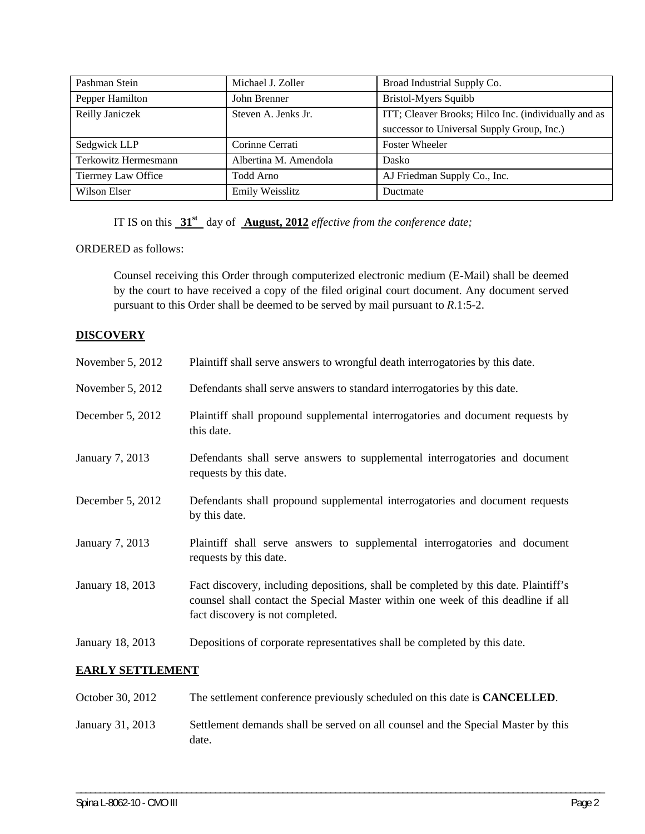| Pashman Stein        | Michael J. Zoller     | Broad Industrial Supply Co.                          |
|----------------------|-----------------------|------------------------------------------------------|
| Pepper Hamilton      | John Brenner          | <b>Bristol-Myers Squibb</b>                          |
| Reilly Janiczek      | Steven A. Jenks Jr.   | ITT; Cleaver Brooks; Hilco Inc. (individually and as |
|                      |                       | successor to Universal Supply Group, Inc.)           |
| Sedgwick LLP         | Corinne Cerrati       | Foster Wheeler                                       |
| Terkowitz Hermesmann | Albertina M. Amendola | <b>Dasko</b>                                         |
| Tierrney Law Office  | Todd Arno             | AJ Friedman Supply Co., Inc.                         |
| Wilson Elser         | Emily Weisslitz       | Ductmate                                             |

IT IS on this **31st** day of **August, 2012** *effective from the conference date;* 

ORDERED as follows:

Counsel receiving this Order through computerized electronic medium (E-Mail) shall be deemed by the court to have received a copy of the filed original court document. Any document served pursuant to this Order shall be deemed to be served by mail pursuant to *R*.1:5-2.

## **DISCOVERY**

| November $5, 2012$     | Plaintiff shall serve answers to wrongful death interrogatories by this date.                                                                                                                               |  |
|------------------------|-------------------------------------------------------------------------------------------------------------------------------------------------------------------------------------------------------------|--|
| November $5, 2012$     | Defendants shall serve answers to standard interrogatories by this date.                                                                                                                                    |  |
| December 5, 2012       | Plaintiff shall propound supplemental interrogatories and document requests by<br>this date.                                                                                                                |  |
| <b>January 7, 2013</b> | Defendants shall serve answers to supplemental interrogatories and document<br>requests by this date.                                                                                                       |  |
| December 5, 2012       | Defendants shall propound supplemental interrogatories and document requests<br>by this date.                                                                                                               |  |
| <b>January 7, 2013</b> | Plaintiff shall serve answers to supplemental interrogatories and document<br>requests by this date.                                                                                                        |  |
| January 18, 2013       | Fact discovery, including depositions, shall be completed by this date. Plaintiff's<br>counsel shall contact the Special Master within one week of this deadline if all<br>fact discovery is not completed. |  |
| January 18, 2013       | Depositions of corporate representatives shall be completed by this date.                                                                                                                                   |  |
| ---------------------  |                                                                                                                                                                                                             |  |

## **EARLY SETTLEMENT**

| October 30, 2012 | The settlement conference previously scheduled on this date is <b>CANCELLED</b> .         |
|------------------|-------------------------------------------------------------------------------------------|
| January 31, 2013 | Settlement demands shall be served on all counsel and the Special Master by this<br>date. |

\_\_\_\_\_\_\_\_\_\_\_\_\_\_\_\_\_\_\_\_\_\_\_\_\_\_\_\_\_\_\_\_\_\_\_\_\_\_\_\_\_\_\_\_\_\_\_\_\_\_\_\_\_\_\_\_\_\_\_\_\_\_\_\_\_\_\_\_\_\_\_\_\_\_\_\_\_\_\_\_\_\_\_\_\_\_\_\_\_\_\_\_\_\_\_\_\_\_\_\_\_\_\_\_\_\_\_\_\_\_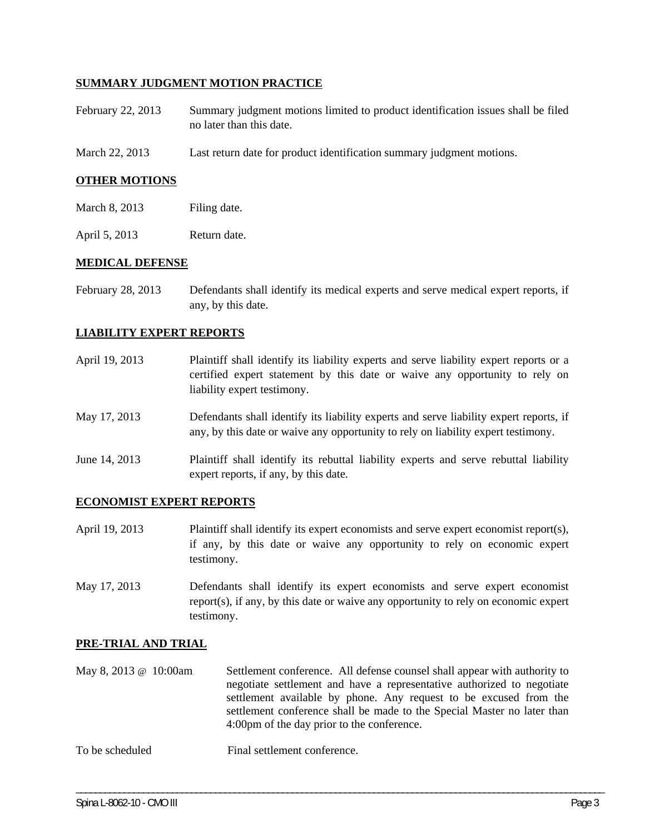## **SUMMARY JUDGMENT MOTION PRACTICE**

- February 22, 2013 Summary judgment motions limited to product identification issues shall be filed no later than this date.
- March 22, 2013 Last return date for product identification summary judgment motions.

## **OTHER MOTIONS**

- March 8, 2013 Filing date.
- April 5, 2013 Return date.

#### **MEDICAL DEFENSE**

February 28, 2013 Defendants shall identify its medical experts and serve medical expert reports, if any, by this date.

#### **LIABILITY EXPERT REPORTS**

- April 19, 2013 Plaintiff shall identify its liability experts and serve liability expert reports or a certified expert statement by this date or waive any opportunity to rely on liability expert testimony.
- May 17, 2013 Defendants shall identify its liability experts and serve liability expert reports, if any, by this date or waive any opportunity to rely on liability expert testimony.
- June 14, 2013 Plaintiff shall identify its rebuttal liability experts and serve rebuttal liability expert reports, if any, by this date.

## **ECONOMIST EXPERT REPORTS**

- April 19, 2013 Plaintiff shall identify its expert economists and serve expert economist report(s), if any, by this date or waive any opportunity to rely on economic expert testimony.
- May 17, 2013 Defendants shall identify its expert economists and serve expert economist report(s), if any, by this date or waive any opportunity to rely on economic expert testimony.

#### **PRE-TRIAL AND TRIAL**

May 8, 2013 @ 10:00am Settlement conference. All defense counsel shall appear with authority to negotiate settlement and have a representative authorized to negotiate settlement available by phone. Any request to be excused from the settlement conference shall be made to the Special Master no later than 4:00pm of the day prior to the conference.

\_\_\_\_\_\_\_\_\_\_\_\_\_\_\_\_\_\_\_\_\_\_\_\_\_\_\_\_\_\_\_\_\_\_\_\_\_\_\_\_\_\_\_\_\_\_\_\_\_\_\_\_\_\_\_\_\_\_\_\_\_\_\_\_\_\_\_\_\_\_\_\_\_\_\_\_\_\_\_\_\_\_\_\_\_\_\_\_\_\_\_\_\_\_\_\_\_\_\_\_\_\_\_\_\_\_\_\_\_\_

To be scheduled Final settlement conference.